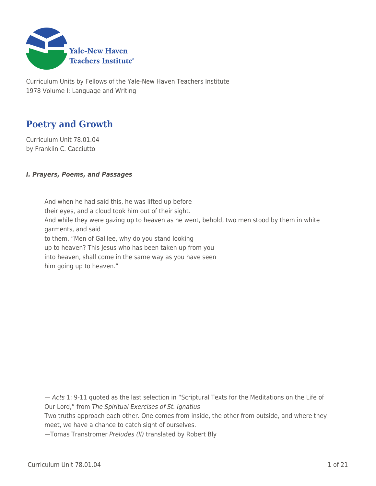

Curriculum Units by Fellows of the Yale-New Haven Teachers Institute 1978 Volume I: Language and Writing

# **Poetry and Growth**

Curriculum Unit 78.01.04 by Franklin C. Cacciutto

### *I. Prayers, Poems, and Passages*

And when he had said this, he was lifted up before their eyes, and a cloud took him out of their sight. And while they were gazing up to heaven as he went, behold, two men stood by them in white garments, and said to them, "Men of Galilee, why do you stand looking up to heaven? This Jesus who has been taken up from you into heaven, shall come in the same way as you have seen him going up to heaven."

— Acts 1: 9-11 quoted as the last selection in "Scriptural Texts for the Meditations on the Life of Our Lord," from The Spiritual Exercises of St. Ignatius

Two truths approach each other. One comes from inside, the other from outside, and where they meet, we have a chance to catch sight of ourselves.

—Tomas Transtromer Preludes (II) translated by Robert Bly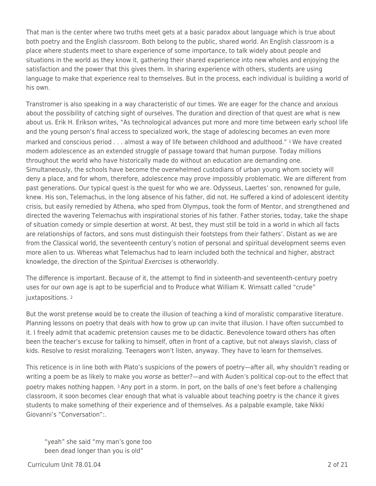That man is the center where two truths meet gets at a basic paradox about language which is true about both poetry and the English classroom. Both belong to the public, shared world. An English classroom is a place where students meet to share experience of some importance, to talk widely about people and situations in the world as they know it, gathering their shared experience into new wholes and enjoying the satisfaction and the power that this gives them. In sharing experience with others, students are using language to make that experience real to themselves. But in the process, each individual is building a world of his own.

Transtromer is also speaking in a way characteristic of our times. We are eager for the chance and anxious about the possibility of catching sight of ourselves. The duration and direction of that quest are what is new about us. Erik H. Erikson writes, "As technological advances put more and more time between early school life and the young person's final access to specialized work, the stage of adolescing becomes an even more marked and conscious period . . . almost a way of life between childhood and adulthood." 1 We have created modern adolescence as an extended struggle of passage toward that human purpose. Today millions throughout the world who have historically made do without an education are demanding one. Simultaneously, the schools have become the overwhelmed custodians of urban young whom society will deny a place, and for whom, therefore, adolescence may prove impossibly problematic. We are different from past generations. Our typical quest is the quest for who we are. Odysseus, Laertes' son, renowned for guile, knew. His son, Telemachus, in the long absence of his father, did not. He suffered a kind of adolescent identity crisis, but easily remedied by Athena, who sped from Olympus, took the form of Mentor, and strengthened and directed the wavering Telemachus with inspirational stories of his father. Father stories, today, take the shape of situation comedy or simple desertion at worst. At best, they must still be told in a world in which all facts are relationships of factors, and sons must distinguish their footsteps from their fathers'. Distant as we are from the Classical world, the seventeenth century's notion of personal and spiritual development seems even more alien to us. Whereas what Telemachus had to learn included both the technical and higher, abstract knowledge, the direction of the Spiritual Exercises is otherworldly.

The difference is important. Because of it, the attempt to find in sixteenth-and seventeenth-century poetry uses for our own age is apt to be superficial and to Produce what William K. Wimsatt called "crude" juxtapositions. 2

But the worst pretense would be to create the illusion of teaching a kind of moralistic comparative literature. Planning lessons on poetry that deals with how to grow up can invite that illusion. I have often succumbed to it. I freely admit that academic pretension causes me to be didactic. Benevolence toward others has often been the teacher's excuse for talking to himself, often in front of a captive, but not always slavish, class of kids. Resolve to resist moralizing. Teenagers won't listen, anyway. They have to learn for themselves.

This reticence is in line both with Plato's suspicions of the powers of poetry—after all, why shouldn't reading or writing a poem be as likely to make you worse as better?—and with Auden's political cop-out to the effect that poetry makes nothing happen. 3 Any port in a storm. In port, on the balls of one's feet before a challenging classroom, it soon becomes clear enough that what is valuable about teaching poetry is the chance it gives students to make something of their experience and of themselves. As a palpable example, take Nikki Giovanni's "Conversation":.

"yeah" she said "my man's gone too been dead longer than you is old"

Curriculum Unit 78.01.04 2 of 21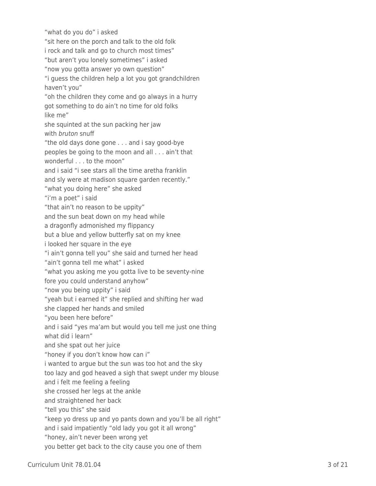"what do you do" i asked "sit here on the porch and talk to the old folk i rock and talk and go to church most times" "but aren't you lonely sometimes" i asked "now you gotta answer yo own question" "i guess the children help a lot you got grandchildren haven't you" "oh the children they come and go always in a hurry got something to do ain't no time for old folks like me" she squinted at the sun packing her jaw with bruton snuff "the old days done gone . . . and i say good-bye peoples be going to the moon and all . . . ain't that wonderful . . . to the moon" and i said "i see stars all the time aretha franklin and sly were at madison square garden recently." "what you doing here" she asked "i'm a poet" i said "that ain't no reason to be uppity" and the sun beat down on my head while a dragonfly admonished my flippancy but a blue and yellow butterfly sat on my knee i looked her square in the eye "i ain't gonna tell you" she said and turned her head "ain't gonna tell me what" i asked "what you asking me you gotta live to be seventy-nine fore you could understand anyhow" "now you being uppity" i said "yeah but i earned it" she replied and shifting her wad she clapped her hands and smiled "you been here before" and i said "yes ma'am but would you tell me just one thing what did i learn" and she spat out her juice "honey if you don't know how can i" i wanted to argue but the sun was too hot and the sky too lazy and god heaved a sigh that swept under my blouse and i felt me feeling a feeling she crossed her legs at the ankle and straightened her back "tell you this" she said "keep yo dress up and yo pants down and you'll be all right" and i said impatiently "old lady you got it all wrong" "honey, ain't never been wrong yet you better get back to the city cause you one of them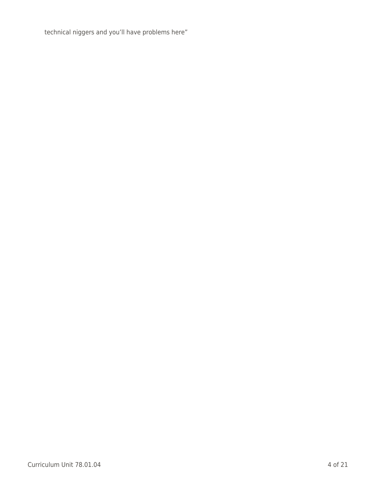technical niggers and you'll have problems here"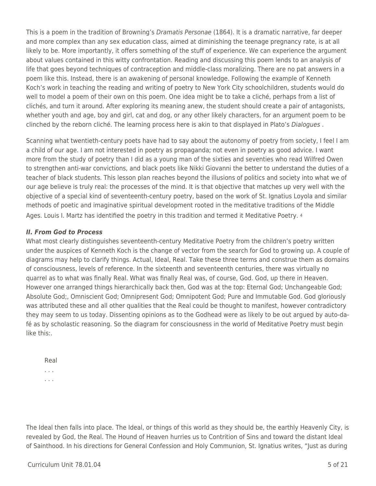This is a poem in the tradition of Browning's Dramatis Personae (1864). It is a dramatic narrative, far deeper and more complex than any sex education class, aimed at diminishing the teenage pregnancy rate, is at all likely to be. More importantly, it offers something of the stuff of experience. We can experience the argument about values contained in this witty confrontation. Reading and discussing this poem lends to an analysis of life that goes beyond techniques of contraception and middle-class moralizing. There are no pat answers in a poem like this. Instead, there is an awakening of personal knowledge. Following the example of Kenneth Koch's work in teaching the reading and writing of poetry to New York City schoolchildren, students would do well to model a poem of their own on this poem. One idea might be to take a cliché, perhaps from a list of clichés, and turn it around. After exploring its meaning anew, the student should create a pair of antagonists, whether youth and age, boy and girl, cat and dog, or any other likely characters, for an argument poem to be clinched by the reborn cliché. The learning process here is akin to that displayed in Plato's Dialogues.

Scanning what twentieth-century poets have had to say about the autonomy of poetry from society, I feel I am a child of our age. I am not interested in poetry as propaganda; not even in poetry as good advice. I want more from the study of poetry than I did as a young man of the sixties and seventies who read Wilfred Owen to strengthen anti-war convictions, and black poets like Nikki Giovanni the better to understand the duties of a teacher of black students. This lesson plan reaches beyond the illusions of politics and society into what we of our age believe is truly real: the processes of the mind. It is that objective that matches up very well with the objective of a special kind of seventeenth-century poetry, based on the work of St. Ignatius Loyola and similar methods of poetic and imaginative spiritual development rooted in the meditative traditions of the Middle Ages. Louis I. Martz has identified the poetry in this tradition and termed it Meditative Poetry. <sup>4</sup>

### *II. From God to Process*

What most clearly distinguishes seventeenth-century Meditative Poetry from the children's poetry written under the auspices of Kenneth Koch is the change of vector from the search for God to growing up. A couple of diagrams may help to clarify things. Actual, Ideal, Real. Take these three terms and construe them as domains of consciousness, levels of reference. In the sixteenth and seventeenth centuries, there was virtually no quarrel as to what was finally Real. What was finally Real was, of course, God. God, up there in Heaven. However one arranged things hierarchically back then, God was at the top: Eternal God; Unchangeable God; Absolute God;, Omniscient God; Omnipresent God; Omnipotent God; Pure and Immutable God. God gloriously was attributed these and all other qualities that the Real could be thought to manifest, however contradictory they may seem to us today. Dissenting opinions as to the Godhead were as likely to be out argued by auto-dafé as by scholastic reasoning. So the diagram for consciousness in the world of Meditative Poetry must begin like this:.

Real

. . . . . .

The Ideal then falls into place. The Ideal, or things of this world as they should be, the earthly Heavenly City, is revealed by God, the Real. The Hound of Heaven hurries us to Contrition of Sins and toward the distant Ideal of Sainthood. In his directions for General Confession and Holy Communion, St. Ignatius writes, "Just as during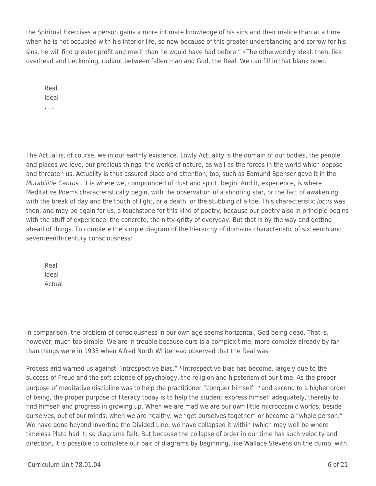the Spiritual Exercises a person gains a more intimate knowledge of his sins and their malice than at a time when he is not occupied with his interior life, so now because of this greater understanding and sorrow for his sins, he will find greater profit and merit than he would have had before." 5 The otherworldly Ideal, then, lies overhead and beckoning, radiant between fallen man and God, the Real. We can fill in that blank now:.

Real Ideal . . .

The Actual is, of course, we in our earthly existence. Lowly Actuality is the domain of our bodies, the people and places we love, our precious things, the works of nature, as well as the forces in the world which oppose and threaten us. Actuality is thus assured place and attention, too, such as Edmund Spenser gave it in the Mutabilitie Cantos . It is where we, compounded of dust and spirit, begin. And it, experience, is where Meditative Poems characteristically begin, with the observation of a shooting star, or the fact of awakening with the break of day and the touch of light, or a death, or the stubbing of a toe. This characteristic locus was then, and may be again for us, a touchstone for this kind of poetry, because our poetry also in principle begins with the stuff of experience, the concrete, the nitty-gritty of everyday. But that is by the way and getting ahead of things. To complete the simple diagram of the hierarchy of domains characteristic of sixteenth and seventeenth-century consciousness:

Real Ideal Actual

In comparison, the problem of consciousness in our own age seems horizontal, God being dead. That is, however, much too simple. We are in trouble because ours is a complex time, more complex already by far than things were in 1933 when Alfred North Whitehead observed that the Real was

Process and warned us against "introspective bias." 6 Introspective bias has become, largely due to the success of Freud and the soft science of psychology, the religion and hipsterism of our time. As the proper purpose of meditative discipline was to help the practitioner "conquer himself" 7 and ascend to a higher order of being, the proper purpose of literacy today is to help the student express himself adequately, thereby to find himself and progress in growing up. When we are mad we are our own little microcosmic worlds, beside ourselves, out of our minds; when we are healthy, we "get ourselves together" or become a "whole person." We have gone beyond inverting the Divided Line; we have collapsed it within (which may well be where timeless Plato had it; so diagrams fail). But because the collapse of order in our time has such velocity and direction, it is possible to complete our pair of diagrams by beginning, like Wallace Stevens on the dump, with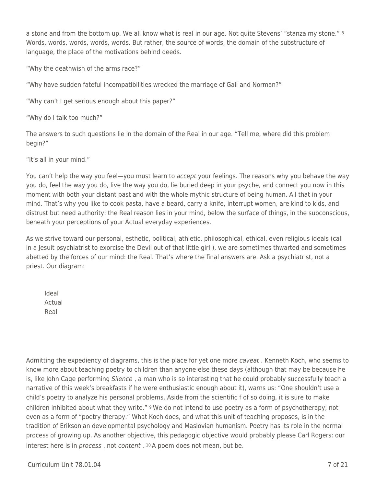a stone and from the bottom up. We all know what is real in our age. Not quite Stevens' "stanza my stone." <sup>8</sup> Words, words, words, words, words. But rather, the source of words, the domain of the substructure of language, the place of the motivations behind deeds.

"Why the deathwish of the arms race?"

"Why have sudden fateful incompatibilities wrecked the marriage of Gail and Norman?"

"Why can't I get serious enough about this paper?"

"Why do I talk too much?"

The answers to such questions lie in the domain of the Real in our age. "Tell me, where did this problem begin?"

"It's all in your mind."

You can't help the way you feel—you must learn to *accept* your feelings. The reasons why you behave the way you do, feel the way you do, live the way you do, lie buried deep in your psyche, and connect you now in this moment with both your distant past and with the whole mythic structure of being human. All that in your mind. That's why you like to cook pasta, have a beard, carry a knife, interrupt women, are kind to kids, and distrust but need authority: the Real reason lies in your mind, below the surface of things, in the subconscious, beneath your perceptions of your Actual everyday experiences.

As we strive toward our personal, esthetic, political, athletic, philosophical, ethical, even religious ideals (call in a Jesuit psychiatrist to exorcise the Devil out of that little girl:), we are sometimes thwarted and sometimes abetted by the forces of our mind: the Real. That's where the final answers are. Ask a psychiatrist, not a priest. Our diagram:

Ideal Actual Real

Admitting the expediency of diagrams, this is the place for yet one more caveat . Kenneth Koch, who seems to know more about teaching poetry to children than anyone else these days (although that may be because he is, like John Cage performing Silence, a man who is so interesting that he could probably successfully teach a narrative of this week's breakfasts if he were enthusiastic enough about it), warns us: "One shouldn't use a child's poetry to analyze his personal problems. Aside from the scientific f of so doing, it is sure to make children inhibited about what they write." 9 We do not intend to use poetry as a form of psychotherapy; not even as a form of "poetry therapy." What Koch does, and what this unit of teaching proposes, is in the tradition of Eriksonian developmental psychology and Maslovian humanism. Poetry has its role in the normal process of growing up. As another objective, this pedagogic objective would probably please Carl Rogers: our interest here is in *process*, not *content*. <sup>10</sup> A poem does not mean, but be.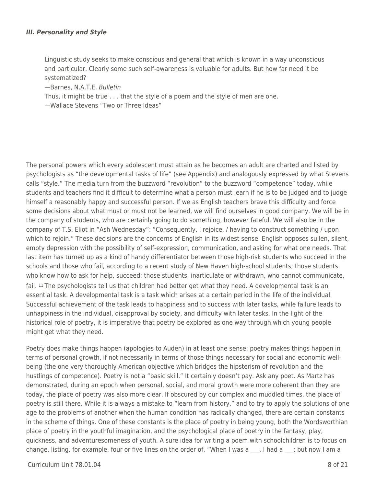Linguistic study seeks to make conscious and general that which is known in a way unconscious and particular. Clearly some such self-awareness is valuable for adults. But how far need it be systematized?

—Barnes, N.A.T.E. Bulletin

Thus, it might be true . . . that the style of a poem and the style of men are one.

—Wallace Stevens "Two or Three Ideas"

The personal powers which every adolescent must attain as he becomes an adult are charted and listed by psychologists as "the developmental tasks of life" (see Appendix) and analogously expressed by what Stevens calls "style." The media turn from the buzzword "revolution" to the buzzword "competence" today, while students and teachers find it difficult to determine what a person must learn if he is to be judged and to judge himself a reasonably happy and successful person. If we as English teachers brave this difficulty and force some decisions about what must or must not be learned, we will find ourselves in good company. We will be in the company of students, who are certainly going to do something, however fateful. We will also be in the company of T.S. Eliot in "Ash Wednesday": "Consequently, I rejoice, / having to construct something / upon which to rejoin." These decisions are the concerns of English in its widest sense. English opposes sullen, silent, empty depression with the possibility of self-expression, communication, and asking for what one needs. That last item has turned up as a kind of handy differentiator between those high-risk students who succeed in the schools and those who fail, according to a recent study of New Haven high-school students; those students who know how to ask for help, succeed; those students, inarticulate or withdrawn, who cannot communicate, fail. 11 The psychologists tell us that children had better get what they need. A developmental task is an essential task. A developmental task is a task which arises at a certain period in the life of the individual. Successful achievement of the task leads to happiness and to success with later tasks, while failure leads to unhappiness in the individual, disapproval by society, and difficulty with later tasks. In the light of the historical role of poetry, it is imperative that poetry be explored as one way through which young people might get what they need.

Poetry does make things happen (apologies to Auden) in at least one sense: poetry makes things happen in terms of personal growth, if not necessarily in terms of those things necessary for social and economic wellbeing (the one very thoroughly American objective which bridges the hipsterism of revolution and the hustlings of competence). Poetry is not a "basic skill." It certainly doesn't pay. Ask any poet. As Martz has demonstrated, during an epoch when personal, social, and moral growth were more coherent than they are today, the place of poetry was also more clear. If obscured by our complex and muddled times, the place of poetry is still there. While it is always a mistake to "learn from history," and to try to apply the solutions of one age to the problems of another when the human condition has radically changed, there are certain constants in the scheme of things. One of these constants is the place of poetry in being young, both the Wordsworthian place of poetry in the youthful imagination, and the psychological place of poetry in the fantasy, play, quickness, and adventuresomeness of youth. A sure idea for writing a poem with schoolchildren is to focus on change, listing, for example, four or five lines on the order of, "When I was a \_\_\_, I had a \_\_; but now I am a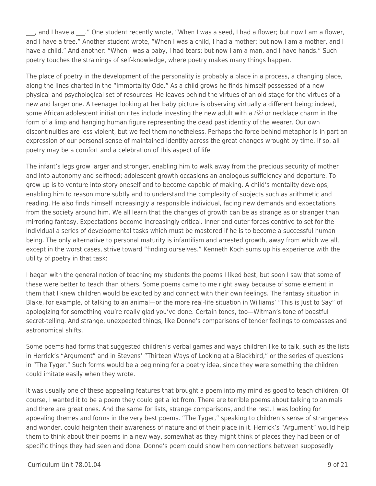\_\_\_, and I have a \_\_\_." One student recently wrote, "When I was a seed, I had a flower; but now I am a flower, and I have a tree." Another student wrote, "When I was a child, I had a mother; but now I am a mother, and I have a child." And another: "When I was a baby, I had tears; but now I am a man, and I have hands." Such poetry touches the strainings of self-knowledge, where poetry makes many things happen.

The place of poetry in the development of the personality is probably a place in a process, a changing place, along the lines charted in the "Immortality Ode." As a child grows he finds himself possessed of a new physical and psychological set of resources. He leaves behind the virtues of an old stage for the virtues of a new and larger one. A teenager looking at her baby picture is observing virtually a different being; indeed, some African adolescent initiation rites include investing the new adult with a tiki or necklace charm in the form of a limp and hanging human figure representing the dead past identity of the wearer. Our own discontinuities are less violent, but we feel them nonetheless. Perhaps the force behind metaphor is in part an expression of our personal sense of maintained identity across the great changes wrought by time. If so, all poetry may be a comfort and a celebration of this aspect of life.

The infant's legs grow larger and stronger, enabling him to walk away from the precious security of mother and into autonomy and selfhood; adolescent growth occasions an analogous sufficiency and departure. To grow up is to venture into story oneself and to become capable of making. A child's mentality develops, enabling him to reason more subtly and to understand the complexity of subjects such as arithmetic and reading. He also finds himself increasingly a responsible individual, facing new demands and expectations from the society around him. We all learn that the changes of growth can be as strange as or stranger than mirroring fantasy. Expectations become increasingly critical. Inner and outer forces contrive to set for the individual a series of developmental tasks which must be mastered if he is to become a successful human being. The only alternative to personal maturity is infantilism and arrested growth, away from which we all, except in the worst cases, strive toward "finding ourselves." Kenneth Koch sums up his experience with the utility of poetry in that task:

I began with the general notion of teaching my students the poems I liked best, but soon I saw that some of these were better to teach than others. Some poems came to me right away because of some element in them that I knew children would be excited by and connect with their own feelings. The fantasy situation in Blake, for example, of talking to an animal—or the more real-life situation in Williams' "This is Just to Say" of apologizing for something you're really glad you've done. Certain tones, too—Witman's tone of boastful secret-telling. And strange, unexpected things, like Donne's comparisons of tender feelings to compasses and astronomical shifts.

Some poems had forms that suggested children's verbal games and ways children like to talk, such as the lists in Herrick's "Argument" and in Stevens' "Thirteen Ways of Looking at a Blackbird," or the series of questions in "The Tyger." Such forms would be a beginning for a poetry idea, since they were something the children could imitate easily when they wrote.

It was usually one of these appealing features that brought a poem into my mind as good to teach children. Of course, I wanted it to be a poem they could get a lot from. There are terrible poems about talking to animals and there are great ones. And the same for lists, strange comparisons, and the rest. I was looking for appealing themes and forms in the very best poems. "The Tyger," speaking to children's sense of strangeness and wonder, could heighten their awareness of nature and of their place in it. Herrick's "Argument" would help them to think about their poems in a new way, somewhat as they might think of places they had been or of specific things they had seen and done. Donne's poem could show hem connections between supposedly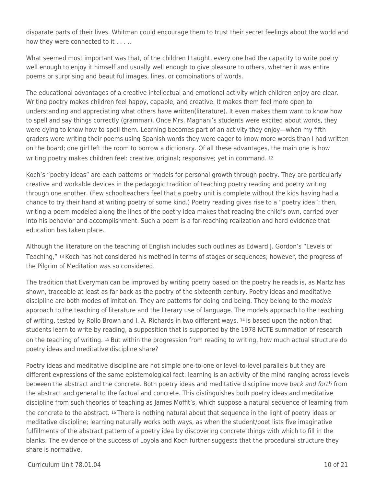disparate parts of their lives. Whitman could encourage them to trust their secret feelings about the world and how they were connected to it . . . ..

What seemed most important was that, of the children I taught, every one had the capacity to write poetry well enough to enjoy it himself and usually well enough to give pleasure to others, whether it was entire poems or surprising and beautiful images, lines, or combinations of words.

The educational advantages of a creative intellectual and emotional activity which children enjoy are clear. Writing poetry makes children feel happy, capable, and creative. It makes them feel more open to understanding and appreciating what others have written(literature). It even makes them want to know how to spell and say things correctly (grammar). Once Mrs. Magnani's students were excited about words, they were dying to know how to spell them. Learning becomes part of an activity they enjoy—when my fifth graders were writing their poems using Spanish words they were eager to know more words than I had written on the board; one girl left the room to borrow a dictionary. Of all these advantages, the main one is how writing poetry makes children feel: creative; original; responsive; yet in command. <sup>12</sup>

Koch's "poetry ideas" are each patterns or models for personal growth through poetry. They are particularly creative and workable devices in the pedagogic tradition of teaching poetry reading and poetry writing through one another. (Few schoolteachers feel that a poetry unit is complete without the kids having had a chance to try their hand at writing poetry of some kind.) Poetry reading gives rise to a "poetry idea"; then, writing a poem modeled along the lines of the poetry idea makes that reading the child's own, carried over into his behavior and accomplishment. Such a poem is a far-reaching realization and hard evidence that education has taken place.

Although the literature on the teaching of English includes such outlines as Edward J. Gordon's "Levels of Teaching," 13 Koch has not considered his method in terms of stages or sequences; however, the progress of the Pilgrim of Meditation was so considered.

The tradition that Everyman can be improved by writing poetry based on the poetry he reads is, as Martz has shown, traceable at least as far back as the poetry of the sixteenth century. Poetry ideas and meditative discipline are both modes of imitation. They are patterns for doing and being. They belong to the *models* approach to the teaching of literature and the literary use of language. The models approach to the teaching of writing, tested by Rollo Brown and I. A. Richards in two different ways, 14 is based upon the notion that students learn to write by reading, a supposition that is supported by the 1978 NCTE summation of research on the teaching of writing. 15 But within the progression from reading to writing, how much actual structure do poetry ideas and meditative discipline share?

Poetry ideas and meditative discipline are not simple one-to-one or level-to-level parallels but they are different expressions of the same epistemological fact: learning is an activity of the mind ranging across levels between the abstract and the concrete. Both poetry ideas and meditative discipline move back and forth from the abstract and general to the factual and concrete. This distinguishes both poetry ideas and meditative discipline from such theories of teaching as James Moffit's, which suppose a natural sequence of learning from the concrete to the abstract. 16 There is nothing natural about that sequence in the light of poetry ideas or meditative discipline; learning naturally works both ways, as when the student/poet lists five imaginative fulfillments of the abstract pattern of a poetry idea by discovering concrete things with which to fill in the blanks. The evidence of the success of Loyola and Koch further suggests that the procedural structure they share is normative.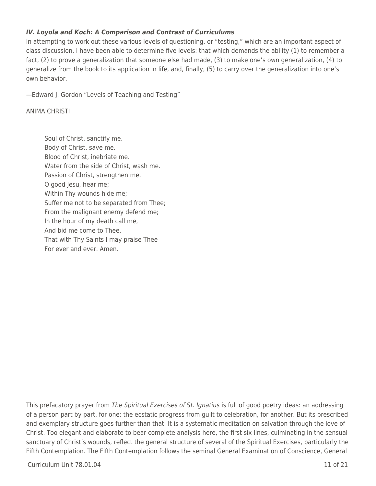## *IV. Loyola and Koch: A Comparison and Contrast of Curriculums*

In attempting to work out these various levels of questioning, or "testing," which are an important aspect of class discussion, I have been able to determine five levels: that which demands the ability (1) to remember a fact, (2) to prove a generalization that someone else had made, (3) to make one's own generalization, (4) to generalize from the book to its application in life, and, finally, (5) to carry over the generalization into one's own behavior.

—Edward J. Gordon "Levels of Teaching and Testing"

ANIMA CHRISTI

Soul of Christ, sanctify me. Body of Christ, save me. Blood of Christ, inebriate me. Water from the side of Christ, wash me. Passion of Christ, strengthen me. O good Jesu, hear me; Within Thy wounds hide me; Suffer me not to be separated from Thee; From the malignant enemy defend me; In the hour of my death call me, And bid me come to Thee, That with Thy Saints I may praise Thee For ever and ever. Amen.

This prefacatory prayer from The Spiritual Exercises of St. Ignatius is full of good poetry ideas: an addressing of a person part by part, for one; the ecstatic progress from guilt to celebration, for another. But its prescribed and exemplary structure goes further than that. It is a systematic meditation on salvation through the love of Christ. Too elegant and elaborate to bear complete analysis here, the first six lines, culminating in the sensual sanctuary of Christ's wounds, reflect the general structure of several of the Spiritual Exercises, particularly the Fifth Contemplation. The Fifth Contemplation follows the seminal General Examination of Conscience, General

Curriculum Unit 78.01.04 11 of 21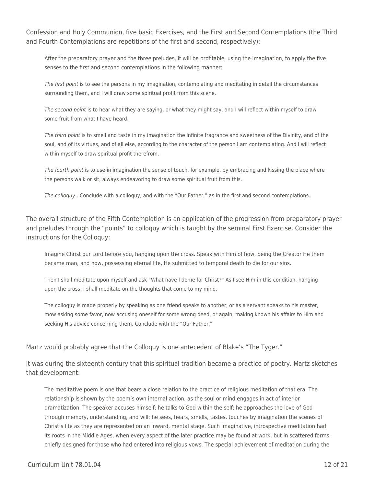Confession and Holy Communion, five basic Exercises, and the First and Second Contemplations (the Third and Fourth Contemplations are repetitions of the first and second, respectively):

After the preparatory prayer and the three preludes, it will be profitable, using the imagination, to apply the five senses to the first and second contemplations in the following manner:

The first point is to see the persons in my imagination, contemplating and meditating in detail the circumstances surrounding them, and I will draw some spiritual profit from this scene.

The second point is to hear what they are saying, or what they might say, and I will reflect within myself to draw some fruit from what I have heard.

The third point is to smell and taste in my imagination the infinite fragrance and sweetness of the Divinity, and of the soul, and of its virtues, and of all else, according to the character of the person I am contemplating. And I will reflect within myself to draw spiritual profit therefrom.

The fourth point is to use in imagination the sense of touch, for example, by embracing and kissing the place where the persons walk or sit, always endeavoring to draw some spiritual fruit from this.

The colloquy . Conclude with a colloquy, and with the "Our Father," as in the first and second contemplations.

The overall structure of the Fifth Contemplation is an application of the progression from preparatory prayer and preludes through the "points" to colloquy which is taught by the seminal First Exercise. Consider the instructions for the Colloquy:

Imagine Christ our Lord before you, hanging upon the cross. Speak with Him of how, being the Creator He them became man, and how, possessing eternal life, He submitted to temporal death to die for our sins.

Then I shall meditate upon myself and ask "What have I dome for Christ?" As I see Him in this condition, hanging upon the cross, I shall meditate on the thoughts that come to my mind.

The colloquy is made properly by speaking as one friend speaks to another, or as a servant speaks to his master, mow asking some favor, now accusing oneself for some wrong deed, or again, making known his affairs to Him and seeking His advice concerning them. Conclude with the "Our Father."

Martz would probably agree that the Colloquy is one antecedent of Blake's "The Tyger."

It was during the sixteenth century that this spiritual tradition became a practice of poetry. Martz sketches that development:

The meditative poem is one that bears a close relation to the practice of religious meditation of that era. The relationship is shown by the poem's own internal action, as the soul or mind engages in act of interior dramatization. The speaker accuses himself; he talks to God within the self; he approaches the love of God through memory, understanding, and will; he sees, hears, smells, tastes, touches by imagination the scenes of Christ's life as they are represented on an inward, mental stage. Such imaginative, introspective meditation had its roots in the Middle Ages, when every aspect of the later practice may be found at work, but in scattered forms, chiefly designed for those who had entered into religious vows. The special achievement of meditation during the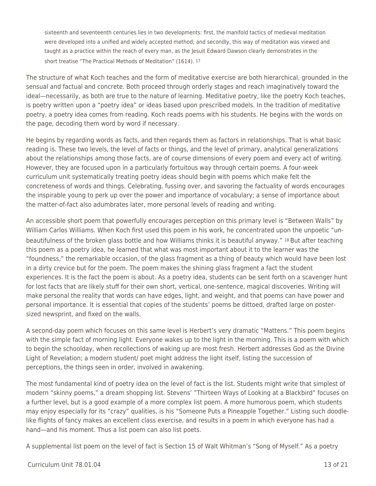sixteenth and seventeenth centuries lies in two developments: first, the manifold tactics of medieval meditation were developed into a unified and widely accepted method; and secondly, this way of meditation was viewed and taught as a practice within the reach of every man, as the Jesuit Edward Dawson clearly demonstrates in the short treatise "The Practical Methods of Meditation" (1614). 17

The structure of what Koch teaches and the form of meditative exercise are both hierarchical, grounded in the sensual and factual and concrete. Both proceed through orderly stages and reach imaginatively toward the ideal—necessarily, as both are true to the nature of learning. Meditative poetry, like the poetry Koch teaches, is poetry written upon a "poetry idea" or ideas based upon prescribed models. In the tradition of meditative poetry, a poetry idea comes from reading. Koch reads poems with his students. He begins with the words on the page, decoding them word by word if necessary.

He begins by regarding words as facts, and then regards them as factors in relationships. That is what basic reading is. These two levels, the level of facts or things, and the level of primary, analytical generalizations about the relationships among those facts, are of course dimensions of every poem and every act of writing. However, they are focused upon in a particularly fortuitous way through certain poems. A four-week curriculum unit systematically treating poetry ideas should begin with poems which make felt the concreteness of words and things. Celebrating, fussing over, and savoring the factuality of words encourages the inspirable young to perk up over the power and importance of vocabulary; a sense of importance about the matter-of-fact also adumbrates later, more personal levels of reading and writing.

An accessible short poem that powerfully encourages perception on this primary level is "Between Walls" by William Carlos Williams. When Koch first used this poem in his work, he concentrated upon the unpoetic "unbeautifulness of the broken glass bottle and how Williams thinks it is beautiful anyway." 18 But after teaching this poem as a poetry idea, he learned that what was most important about it to the learner was the "foundness," the remarkable occasion, of the glass fragment as a thing of beauty which would have been lost in a dirty crevice but for the poem. The poem makes the shining glass fragment a fact the student experiences. It is the fact the poem is about. As a poetry idea, students can be sent forth on a scavenger hunt for lost facts that are likely stuff for their own short, vertical, one-sentence, magical discoveries. Writing will make personal the reality that words can have edges, light, and weight, and that poems can have power and personal importance. It is essential that copies of the students' poems be dittoed, drafted large on postersized newsprint, and fixed on the walls.

A second-day poem which focuses on this same level is Herbert's very dramatic "Mattens." This poem begins with the simple fact of morning light. Everyone wakes up to the light in the morning. This is a poem with which to begin the schoolday, when recollections of waking up are most fresh. Herbert addresses God as the Divine Light of Revelation; a modern student/ poet might address the light itself, listing the succession of perceptions, the things seen in order, involved in awakening.

The most fundamental kind of poetry idea on the level of fact is the list. Students might write that simplest of modern "skinny poems," a dream shopping list. Stevens' "Thirteen Ways of Looking at a Blackbird" focuses on a further level, but is a good example of a more complex list poem. A more humorous poem, which students may enjoy especially for its "crazy" qualities, is his "Someone Puts a Pineapple Together." Listing such doodlelike flights of fancy makes an excellent class exercise, and results in a poem in which everyone has had a hand—and his moment. Thus a list poem can also list poets.

A supplemental list poem on the level of fact is Section 15 of Walt Whitman's "Song of Myself." As a poetry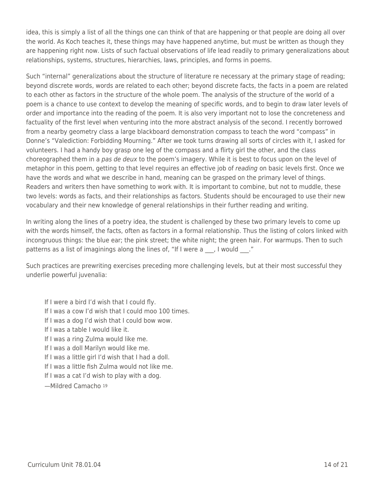idea, this is simply a list of all the things one can think of that are happening or that people are doing all over the world. As Koch teaches it, these things may have happened anytime, but must be written as though they are happening right now. Lists of such factual observations of life lead readily to primary generalizations about relationships, systems, structures, hierarchies, laws, principles, and forms in poems.

Such "internal" generalizations about the structure of literature re necessary at the primary stage of reading; beyond discrete words, words are related to each other; beyond discrete facts, the facts in a poem are related to each other as factors in the structure of the whole poem. The analysis of the structure of the world of a poem is a chance to use context to develop the meaning of specific words, and to begin to draw later levels of order and importance into the reading of the poem. It is also very important not to lose the concreteness and factuality of the first level when venturing into the more abstract analysis of the second. I recently borrowed from a nearby geometry class a large blackboard demonstration compass to teach the word "compass" in Donne's "Valediction: Forbidding Mourning." After we took turns drawing all sorts of circles with it, I asked for volunteers. I had a handy boy grasp one leg of the compass and a flirty girl the other, and the class choreographed them in a pas de deux to the poem's imagery. While it is best to focus upon on the level of metaphor in this poem, getting to that level requires an effective job of reading on basic levels first. Once we have the words and what we describe in hand, meaning can be grasped on the primary level of things. Readers and writers then have something to work with. It is important to combine, but not to muddle, these two levels: words as facts, and their relationships as factors. Students should be encouraged to use their new vocabulary and their new knowledge of general relationships in their further reading and writing.

In writing along the lines of a poetry idea, the student is challenged by these two primary levels to come up with the words himself, the facts, often as factors in a formal relationship. Thus the listing of colors linked with incongruous things: the blue ear; the pink street; the white night; the green hair. For warmups. Then to such patterns as a list of imaginings along the lines of, "If I were a \_\_\_, I would \_\_\_."

Such practices are prewriting exercises preceding more challenging levels, but at their most successful they underlie powerful juvenalia:

If I were a bird I'd wish that I could fly.

If I was a cow I'd wish that I could moo 100 times.

If I was a dog I'd wish that I could bow wow.

If I was a table I would like it.

If I was a ring Zulma would like me.

If I was a doll Marilyn would like me.

If I was a little girl I'd wish that I had a doll.

If I was a little fish Zulma would not like me.

If I was a cat I'd wish to play with a dog.

—Mildred Camacho 19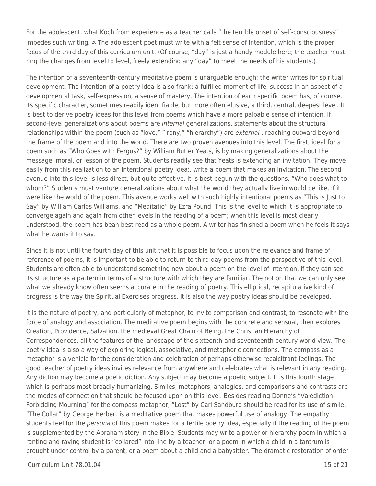For the adolescent, what Koch from experience as a teacher calls "the terrible onset of self-consciousness" impedes such writing. 20 The adolescent poet must write with a felt sense of intention, which is the proper focus of the third day of this curriculum unit. (Of course, "day" is just a handy module here; the teacher must ring the changes from level to level, freely extending any "day" to meet the needs of his students.)

The intention of a seventeenth-century meditative poem is unarguable enough; the writer writes for spiritual development. The intention of a poetry idea is also frank: a fulfilled moment of life, success in an aspect of a developmental task, self-expression, a sense of mastery. The intention of each specific poem has, of course, its specific character, sometimes readily identifiable, but more often elusive, a third, central, deepest level. It is best to derive poetry ideas for this level from poems which have a more palpable sense of intention. If second-level generalizations about poems are internal generalizations, statements about the structural relationships within the poem (such as "love," "irony," "hierarchy") are external, reaching outward beyond the frame of the poem and into the world. There are two proven avenues into this level. The first, ideal for a poem such as "Who Goes with Fergus?" by William Butler Yeats, is by making generalizations about the message, moral, or lesson of the poem. Students readily see that Yeats is extending an invitation. They move easily from this realization to an intentional poetry idea:. write a poem that makes an invitation. The second avenue into this level is less direct, but quite effective. It is best begun with the questions, "Who does what to whom?" Students must venture generalizations about what the world they actually live in would be like, if it were like the world of the poem. This avenue works well with such highly intentional poems as "This is Just to Say" by William Carlos Williams, and "Meditatio" by Ezra Pound. This is the level to which it is appropriate to converge again and again from other levels in the reading of a poem; when this level is most clearly understood, the poem has bean best read as a whole poem. A writer has finished a poem when he feels it says what he wants it to say.

Since it is not until the fourth day of this unit that it is possible to focus upon the relevance and frame of reference of poems, it is important to be able to return to third-day poems from the perspective of this level. Students are often able to understand something new about a poem on the level of intention, if they can see its structure as a pattern in terms of a structure with which they are familiar. The notion that we can only see what we already know often seems accurate in the reading of poetry. This elliptical, recapitulative kind of progress is the way the Spiritual Exercises progress. It is also the way poetry ideas should be developed.

It is the nature of poetry, and particularly of metaphor, to invite comparison and contrast, to resonate with the force of analogy and association. The meditative poem begins with the concrete and sensual, then explores Creation, Providence, Salvation, the medieval Great Chain of Being, the Christian Hierarchy of Correspondences, all the features of the landscape of the sixteenth-and seventeenth-century world view. The poetry idea is also a way of exploring logical, associative, and metaphoric connections. The compass as a metaphor is a vehicle for the consideration and celebration of perhaps otherwise recalcitrant feelings. The good teacher of poetry ideas invites relevance from anywhere and celebrates what is relevant in any reading. Any diction may become a poetic diction. Any subject may become a poetic subject. It is this fourth stage which is perhaps most broadly humanizing. Similes, metaphors, analogies, and comparisons and contrasts are the modes of connection that should be focused upon on this level. Besides reading Donne's "Valediction: Forbidding Mourning" for the compass metaphor, "Lost" by Carl Sandburg should be read for its use of simile. "The Collar" by George Herbert is a meditative poem that makes powerful use of analogy. The empathy students feel for the *persona* of this poem makes for a fertile poetry idea, especially if the reading of the poem is supplemented by the Abraham story in the Bible. Students may write a power or hierarchy poem in which a ranting and raving student is "collared" into line by a teacher; or a poem in which a child in a tantrum is brought under control by a parent; or a poem about a child and a babysitter. The dramatic restoration of order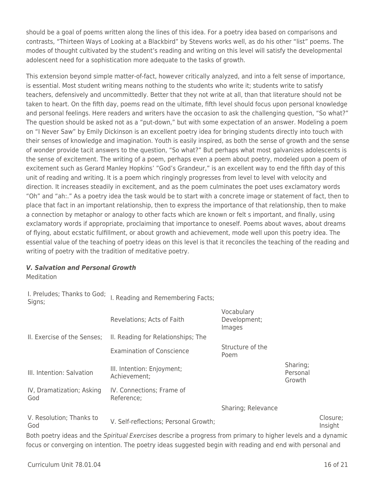should be a goal of poems written along the lines of this idea. For a poetry idea based on comparisons and contrasts, "Thirteen Ways of Looking at a Blackbird" by Stevens works well, as do his other "list" poems. The modes of thought cultivated by the student's reading and writing on this level will satisfy the developmental adolescent need for a sophistication more adequate to the tasks of growth.

This extension beyond simple matter-of-fact, however critically analyzed, and into a felt sense of importance, is essential. Most student writing means nothing to the students who write it; students write to satisfy teachers, defensively and uncommittedly. Better that they not write at all, than that literature should not be taken to heart. On the fifth day, poems read on the ultimate, fifth level should focus upon personal knowledge and personal feelings. Here readers and writers have the occasion to ask the challenging question, "So what?" The question should be asked not as a "put-down," but with some expectation of an answer. Modeling a poem on "I Never Saw" by Emily Dickinson is an excellent poetry idea for bringing students directly into touch with their senses of knowledge and imagination. Youth is easily inspired, as both the sense of growth and the sense of wonder provide tacit answers to the question, "So what?" But perhaps what most galvanizes adolescents is the sense of excitement. The writing of a poem, perhaps even a poem about poetry, modeled upon a poem of excitement such as Gerard Manley Hopkins' "God's Grandeur," is an excellent way to end the fifth day of this unit of reading and writing. It is a poem which ringingly progresses from level to level with velocity and direction. It increases steadily in excitement, and as the poem culminates the poet uses exclamatory words "Oh" and "ah:." As a poetry idea the task would be to start with a concrete image or statement of fact, then to place that fact in an important relationship, then to express the importance of that relationship, then to make a connection by metaphor or analogy to other facts which are known or felt s important, and finally, using exclamatory words if appropriate, proclaiming that importance to oneself. Poems about waves, about dreams of flying, about ecstatic fulfillment, or about growth and achievement, mode well upon this poetry idea. The essential value of the teaching of poetry ideas on this level is that it reconciles the teaching of the reading and writing of poetry with the tradition of meditative poetry.

#### *V. Salvation and Personal Growth*

Meditation

I. Preludes; Thanks to God; I. Reading and Remembering Facts;<br>Signs;

|                                  | Revelations; Acts of Faith                                                                                  | Vocabulary<br>Development;<br>Images |                                |                     |
|----------------------------------|-------------------------------------------------------------------------------------------------------------|--------------------------------------|--------------------------------|---------------------|
| II. Exercise of the Senses;      | II. Reading for Relationships; The                                                                          |                                      |                                |                     |
|                                  | <b>Examination of Conscience</b>                                                                            | Structure of the<br>Poem             |                                |                     |
| III. Intention: Salvation        | III. Intention: Enjoyment;<br>Achievement;                                                                  |                                      | Sharing;<br>Personal<br>Growth |                     |
| IV, Dramatization; Asking<br>God | IV. Connections; Frame of<br>Reference;                                                                     |                                      |                                |                     |
|                                  |                                                                                                             | Sharing; Relevance                   |                                |                     |
| V. Resolution; Thanks to<br>God  | V. Self-reflections; Personal Growth;                                                                       |                                      |                                | Closure;<br>Insight |
|                                  | Dath na chuidhean an dhiar Cuidheal Eugusta a daomhar a nuamaca fuam nuimean ta biolanta a leuch an deasain |                                      |                                |                     |

Both poetry ideas and the Spiritual Exercises describe a progress from primary to higher levels and a dynamic focus or converging on intention. The poetry ideas suggested begin with reading and end with personal and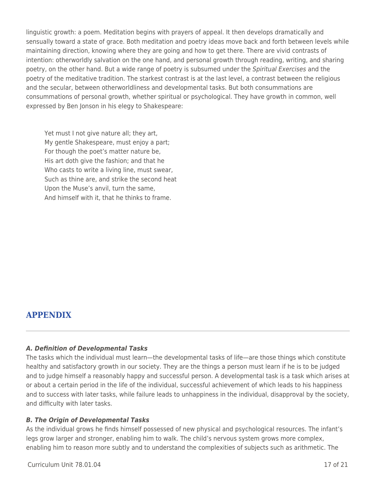linguistic growth: a poem. Meditation begins with prayers of appeal. It then develops dramatically and sensually toward a state of grace. Both meditation and poetry ideas move back and forth between levels while maintaining direction, knowing where they are going and how to get there. There are vivid contrasts of intention: otherworldly salvation on the one hand, and personal growth through reading, writing, and sharing poetry, on the other hand. But a wide range of poetry is subsumed under the Spiritual Exercises and the poetry of the meditative tradition. The starkest contrast is at the last level, a contrast between the religious and the secular, between otherworldliness and developmental tasks. But both consummations are consummations of personal growth, whether spiritual or psychological. They have growth in common, well expressed by Ben Jonson in his elegy to Shakespeare:

Yet must I not give nature all; they art, My gentle Shakespeare, must enjoy a part; For though the poet's matter nature be, His art doth give the fashion; and that he Who casts to write a living line, must swear, Such as thine are, and strike the second heat Upon the Muse's anvil, turn the same, And himself with it, that he thinks to frame.

# **APPENDIX**

#### *A. Definition of Developmental Tasks*

The tasks which the individual must learn—the developmental tasks of life—are those things which constitute healthy and satisfactory growth in our society. They are the things a person must learn if he is to be judged and to judge himself a reasonably happy and successful person. A developmental task is a task which arises at or about a certain period in the life of the individual, successful achievement of which leads to his happiness and to success with later tasks, while failure leads to unhappiness in the individual, disapproval by the society, and difficulty with later tasks.

#### *B. The Origin of Developmental Tasks*

As the individual grows he finds himself possessed of new physical and psychological resources. The infant's legs grow larger and stronger, enabling him to walk. The child's nervous system grows more complex, enabling him to reason more subtly and to understand the complexities of subjects such as arithmetic. The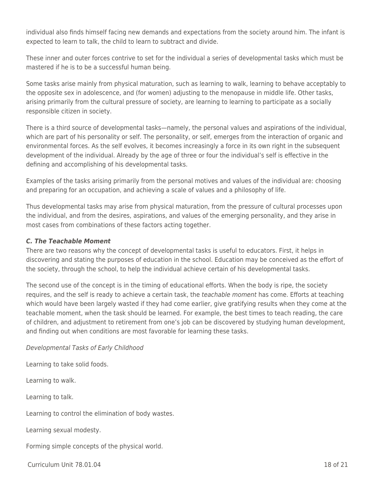individual also finds himself facing new demands and expectations from the society around him. The infant is expected to learn to talk, the child to learn to subtract and divide.

These inner and outer forces contrive to set for the individual a series of developmental tasks which must be mastered if he is to be a successful human being.

Some tasks arise mainly from physical maturation, such as learning to walk, learning to behave acceptably to the opposite sex in adolescence, and (for women) adjusting to the menopause in middle life. Other tasks, arising primarily from the cultural pressure of society, are learning to learning to participate as a socially responsible citizen in society.

There is a third source of developmental tasks—namely, the personal values and aspirations of the individual, which are part of his personality or self. The personality, or self, emerges from the interaction of organic and environmental forces. As the self evolves, it becomes increasingly a force in its own right in the subsequent development of the individual. Already by the age of three or four the individual's self is effective in the defining and accomplishing of his developmental tasks.

Examples of the tasks arising primarily from the personal motives and values of the individual are: choosing and preparing for an occupation, and achieving a scale of values and a philosophy of life.

Thus developmental tasks may arise from physical maturation, from the pressure of cultural processes upon the individual, and from the desires, aspirations, and values of the emerging personality, and they arise in most cases from combinations of these factors acting together.

### *C. The Teachable Moment*

There are two reasons why the concept of developmental tasks is useful to educators. First, it helps in discovering and stating the purposes of education in the school. Education may be conceived as the effort of the society, through the school, to help the individual achieve certain of his developmental tasks.

The second use of the concept is in the timing of educational efforts. When the body is ripe, the society requires, and the self is ready to achieve a certain task, the teachable moment has come. Efforts at teaching which would have been largely wasted if they had come earlier, give gratifying results when they come at the teachable moment, when the task should be learned. For example, the best times to teach reading, the care of children, and adjustment to retirement from one's job can be discovered by studying human development, and finding out when conditions are most favorable for learning these tasks.

#### Developmental Tasks of Early Childhood

Learning to take solid foods.

Learning to walk.

Learning to talk.

Learning to control the elimination of body wastes.

Learning sexual modesty.

Forming simple concepts of the physical world.

 $C$ urriculum Unit  $78.01.04$  18 of 21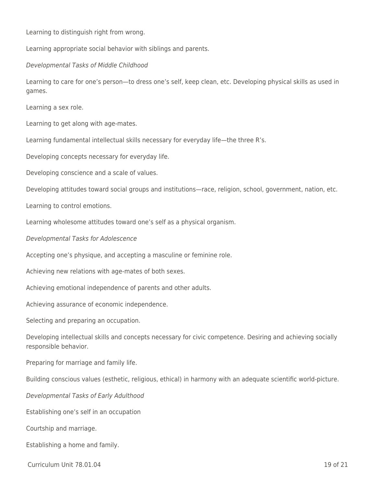Learning to distinguish right from wrong.

Learning appropriate social behavior with siblings and parents.

Developmental Tasks of Middle Childhood

Learning to care for one's person—to dress one's self, keep clean, etc. Developing physical skills as used in games.

Learning a sex role.

Learning to get along with age-mates.

Learning fundamental intellectual skills necessary for everyday life—the three R's.

Developing concepts necessary for everyday life.

Developing conscience and a scale of values.

Developing attitudes toward social groups and institutions—race, religion, school, government, nation, etc.

Learning to control emotions.

Learning wholesome attitudes toward one's self as a physical organism.

Developmental Tasks for Adolescence

Accepting one's physique, and accepting a masculine or feminine role.

Achieving new relations with age-mates of both sexes.

Achieving emotional independence of parents and other adults.

Achieving assurance of economic independence.

Selecting and preparing an occupation.

Developing intellectual skills and concepts necessary for civic competence. Desiring and achieving socially responsible behavior.

Preparing for marriage and family life.

Building conscious values (esthetic, religious, ethical) in harmony with an adequate scientific world-picture.

Developmental Tasks of Early Adulthood

Establishing one's self in an occupation

Courtship and marriage.

Establishing a home and family.

 $C$ urriculum Unit  $78.01.04$  19 of 21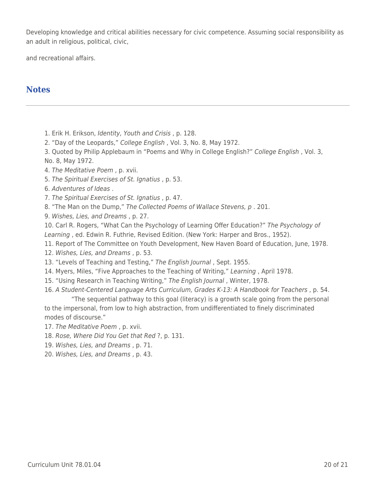Developing knowledge and critical abilities necessary for civic competence. Assuming social responsibility as an adult in religious, political, civic,

and recreational affairs.

# **Notes**

- 1. Erik H. Erikson, Identity, Youth and Crisis , p. 128.
- 2. "Day of the Leopards," College English , Vol. 3, No. 8, May 1972.
- 3. Quoted by Philip Applebaum in "Poems and Why in College English?" College English , Vol. 3,
- No. 8, May 1972.
- 4. The Meditative Poem , p. xvii.
- 5. The Spiritual Exercises of St. Ignatius , p. 53.
- 6. Adventures of Ideas .
- 7. The Spiritual Exercises of St. Ignatius , p. 47.
- 8. "The Man on the Dump," The Collected Poems of Wallace Stevens, p . 201.
- 9. Wishes, Lies, and Dreams , p. 27.

10. Carl R. Rogers, "What Can the Psychology of Learning Offer Education?" The Psychology of Learning , ed. Edwin R. Futhrie, Revised Edition. (New York: Harper and Bros., 1952).

- 11. Report of The Committee on Youth Development, New Haven Board of Education, June, 1978.
- 12. Wishes, Lies, and Dreams , p. 53.
- 13. "Levels of Teaching and Testing," The English Journal , Sept. 1955.
- 14. Myers, Miles, "Five Approaches to the Teaching of Writing," Learning , April 1978.
- 15. "Using Research in Teaching Writing," The English Journal , Winter, 1978.
- 16. A Student-Centered Language Arts Curriculum, Grades K-13: A Handbook for Teachers , p. 54.

"The sequential pathway to this goal (literacy) is a growth scale going from the personal to the impersonal, from low to high abstraction, from undifferentiated to finely discriminated modes of discourse."

- 17. The Meditative Poem , p. xvii.
- 18. Rose, Where Did You Get that Red ?, p. 131.
- 19. Wishes, Lies, and Dreams , p. 71.
- 20. Wishes, Lies, and Dreams , p. 43.